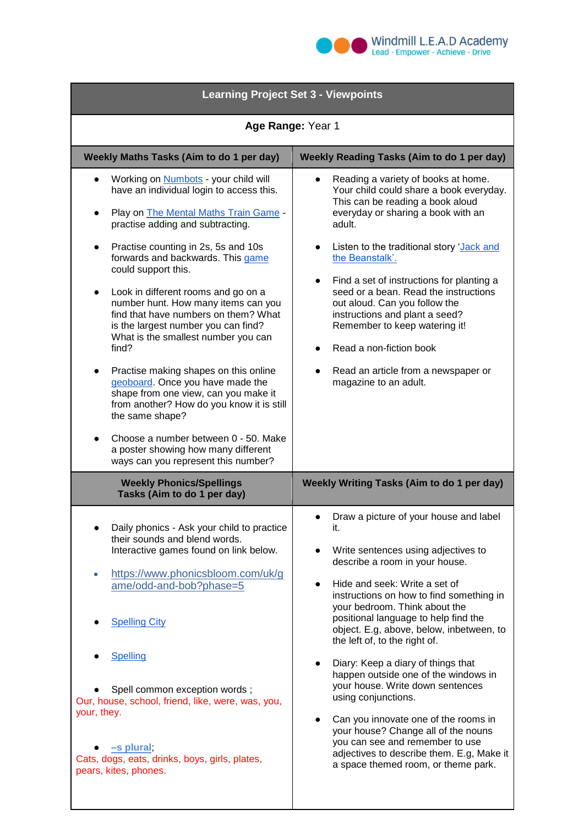

| <b>Learning Project Set 3 - Viewpoints</b>                                                                                                                                                                                                                                                                                                                                                                                                                                                                                                                                                                                                                                                                                                                                                                                                          |                                                                                                                                                                                                                                                                                                                                                                                                                                                                                                                                                                                                                                                                                                          |
|-----------------------------------------------------------------------------------------------------------------------------------------------------------------------------------------------------------------------------------------------------------------------------------------------------------------------------------------------------------------------------------------------------------------------------------------------------------------------------------------------------------------------------------------------------------------------------------------------------------------------------------------------------------------------------------------------------------------------------------------------------------------------------------------------------------------------------------------------------|----------------------------------------------------------------------------------------------------------------------------------------------------------------------------------------------------------------------------------------------------------------------------------------------------------------------------------------------------------------------------------------------------------------------------------------------------------------------------------------------------------------------------------------------------------------------------------------------------------------------------------------------------------------------------------------------------------|
| Age Range: Year 1                                                                                                                                                                                                                                                                                                                                                                                                                                                                                                                                                                                                                                                                                                                                                                                                                                   |                                                                                                                                                                                                                                                                                                                                                                                                                                                                                                                                                                                                                                                                                                          |
| Weekly Maths Tasks (Aim to do 1 per day)                                                                                                                                                                                                                                                                                                                                                                                                                                                                                                                                                                                                                                                                                                                                                                                                            | <b>Weekly Reading Tasks (Aim to do 1 per day)</b>                                                                                                                                                                                                                                                                                                                                                                                                                                                                                                                                                                                                                                                        |
| Working on <b>Numbots</b> - your child will<br>$\bullet$<br>have an individual login to access this.<br>Play on The Mental Maths Train Game -<br>$\bullet$<br>practise adding and subtracting.<br>Practise counting in 2s, 5s and 10s<br>$\bullet$<br>forwards and backwards. This game<br>could support this.<br>Look in different rooms and go on a<br>$\bullet$<br>number hunt. How many items can you<br>find that have numbers on them? What<br>is the largest number you can find?<br>What is the smallest number you can<br>find?<br>Practise making shapes on this online<br>geoboard. Once you have made the<br>shape from one view, can you make it<br>from another? How do you know it is still<br>the same shape?<br>Choose a number between 0 - 50. Make<br>a poster showing how many different<br>ways can you represent this number? | Reading a variety of books at home.<br>Your child could share a book everyday.<br>This can be reading a book aloud<br>everyday or sharing a book with an<br>adult.<br>Listen to the traditional story 'Jack and<br>the Beanstalk'.<br>Find a set of instructions for planting a<br>$\bullet$<br>seed or a bean. Read the instructions<br>out aloud. Can you follow the<br>instructions and plant a seed?<br>Remember to keep watering it!<br>Read a non-fiction book<br>Read an article from a newspaper or<br>magazine to an adult.                                                                                                                                                                     |
| <b>Weekly Phonics/Spellings</b><br>Tasks (Aim to do 1 per day)                                                                                                                                                                                                                                                                                                                                                                                                                                                                                                                                                                                                                                                                                                                                                                                      | Weekly Writing Tasks (Aim to do 1 per day)                                                                                                                                                                                                                                                                                                                                                                                                                                                                                                                                                                                                                                                               |
| Daily phonics - Ask your child to practice<br>their sounds and blend words.<br>Interactive games found on link below.<br>https://www.phonicsbloom.com/uk/g<br>$\bullet$<br>ame/odd-and-bob?phase=5<br><b>Spelling City</b><br>Spelling<br>Spell common exception words;<br>Our, house, school, friend, like, were, was, you,<br>your, they.<br>-s plural;<br>Cats, dogs, eats, drinks, boys, girls, plates,<br>pears, kites, phones.                                                                                                                                                                                                                                                                                                                                                                                                                | Draw a picture of your house and label<br>it.<br>Write sentences using adjectives to<br>describe a room in your house.<br>Hide and seek: Write a set of<br>instructions on how to find something in<br>your bedroom. Think about the<br>positional language to help find the<br>object. E.g, above, below, inbetween, to<br>the left of, to the right of.<br>Diary: Keep a diary of things that<br>happen outside one of the windows in<br>your house. Write down sentences<br>using conjunctions.<br>Can you innovate one of the rooms in<br>your house? Change all of the nouns<br>you can see and remember to use<br>adjectives to describe them. E.g, Make it<br>a space themed room, or theme park. |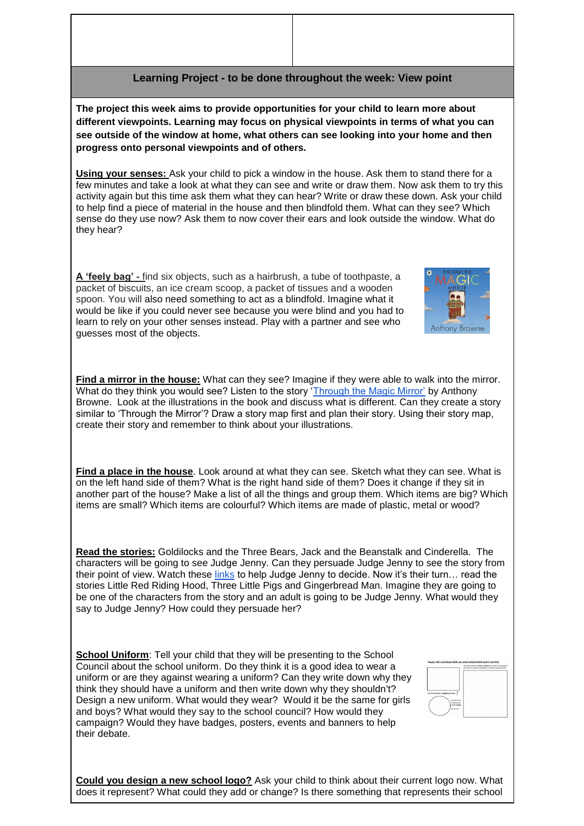## **Learning Project - to be done throughout the week: View point**

**The project this week aims to provide opportunities for your child to learn more about different viewpoints. Learning may focus on physical viewpoints in terms of what you can see outside of the window at home, what others can see looking into your home and then progress onto personal viewpoints and of others.**

**Using your senses:** Ask your child to pick a window in the house. Ask them to stand there for a few minutes and take a look at what they can see and write or draw them. Now ask them to try this activity again but this time ask them what they can hear? Write or draw these down. Ask your child to help find a piece of material in the house and then blindfold them. What can they see? Which sense do they use now? Ask them to now cover their ears and look outside the window. What do they hear?

**A 'feely bag' -** find six objects, such as a hairbrush, a tube of toothpaste, a packet of biscuits, an ice cream scoop, a packet of tissues and a wooden spoon. You will also need something to act as a blindfold. Imagine what it would be like if you could never see because you were blind and you had to learn to rely on your other senses instead. Play with a partner and see who guesses most of the objects.



**Find a place in the house**. Look around at what they can see. Sketch what they can see. What is on the left hand side of them? What is the right hand side of them? Does it change if they sit in another part of the house? Make a list of all the things and group them. Which items are big? Which items are small? Which items are colourful? Which items are made of plastic, metal or wood?

**Read the stories:** Goldilocks and the Three Bears, Jack and the Beanstalk and Cinderella. The characters will be going to see Judge Jenny. Can they persuade Judge Jenny to see the story from their point of view. Watch these [links](https://www.bbc.co.uk/bitesize/topics/zngg87h/) to help Judge Jenny to decide. Now it's their turn… read the stories Little Red Riding Hood, Three Little Pigs and Gingerbread Man. Imagine they are going to be one of the characters from the story and an adult is going to be Judge Jenny. What would they say to Judge Jenny? How could they persuade her?

**School Uniform**: Tell your child that they will be presenting to the School Council about the school uniform. Do they think it is a good idea to wear a uniform or are they against wearing a uniform? Can they write down why they think they should have a uniform and then write down why they shouldn't? Design a new uniform. What would they wear? Would it be the same for girls and boys? What would they say to the school council? How would they campaign? Would they have badges, posters, events and banners to help their debate.



**Anthony Browne** 

**Could you design a new school logo?** Ask your child to think about their current logo now. What does it represent? What could they add or change? Is there something that represents their school